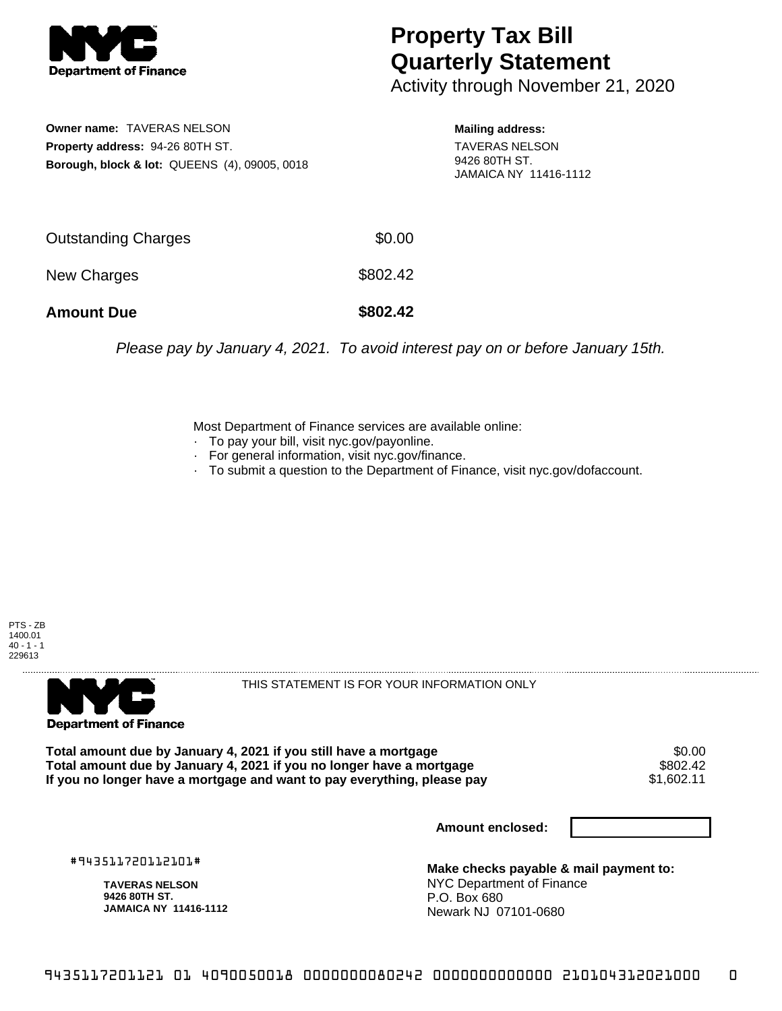

## **Property Tax Bill Quarterly Statement**

Activity through November 21, 2020

**Owner name:** TAVERAS NELSON **Property address:** 94-26 80TH ST. **Borough, block & lot:** QUEENS (4), 09005, 0018 **Mailing address:** TAVERAS NELSON 9426 80TH ST.

JAMAICA NY 11416-1112

| <b>Amount Due</b>   | \$802.42 |
|---------------------|----------|
| New Charges         | \$802.42 |
| Outstanding Charges | \$0.00   |

Please pay by January 4, 2021. To avoid interest pay on or before January 15th.

Most Department of Finance services are available online:

- · To pay your bill, visit nyc.gov/payonline.
- For general information, visit nyc.gov/finance.
- · To submit a question to the Department of Finance, visit nyc.gov/dofaccount.





THIS STATEMENT IS FOR YOUR INFORMATION ONLY

Total amount due by January 4, 2021 if you still have a mortgage \$0.00<br>Total amount due by January 4, 2021 if you no longer have a mortgage \$802.42 **Total amount due by January 4, 2021 if you no longer have a mortgage** \$802.42 If you no longer have a mortgage and want to pay everything, please pay

**Amount enclosed:**

#943511720112101#

**TAVERAS NELSON 9426 80TH ST. JAMAICA NY 11416-1112**

**Make checks payable & mail payment to:** NYC Department of Finance P.O. Box 680 Newark NJ 07101-0680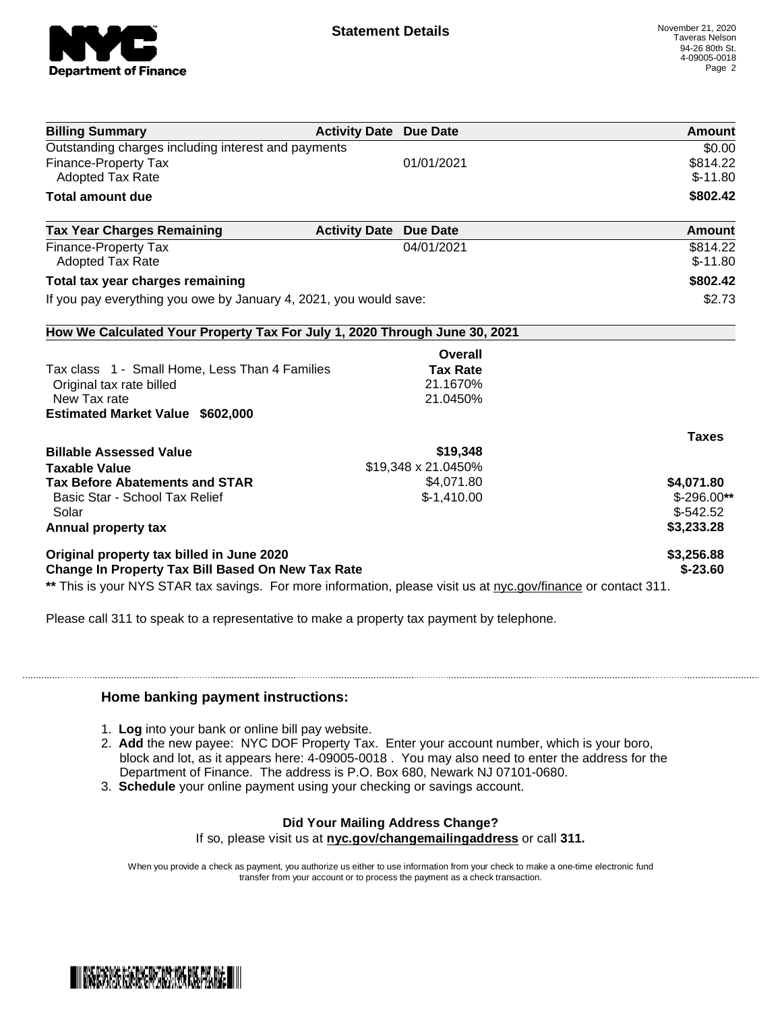

| <b>Billing Summary</b>                                                                                         | <b>Activity Date Due Date</b> |                     | Amount        |
|----------------------------------------------------------------------------------------------------------------|-------------------------------|---------------------|---------------|
| Outstanding charges including interest and payments                                                            |                               |                     | \$0.00        |
| <b>Finance-Property Tax</b>                                                                                    |                               | 01/01/2021          | \$814.22      |
| <b>Adopted Tax Rate</b>                                                                                        |                               |                     | $$-11.80$     |
| <b>Total amount due</b>                                                                                        |                               |                     | \$802.42      |
| <b>Tax Year Charges Remaining</b>                                                                              | <b>Activity Date</b>          | <b>Due Date</b>     | <b>Amount</b> |
| Finance-Property Tax                                                                                           |                               | 04/01/2021          | \$814.22      |
| <b>Adopted Tax Rate</b>                                                                                        |                               |                     | $$-11.80$     |
| Total tax year charges remaining                                                                               |                               |                     | \$802.42      |
| If you pay everything you owe by January 4, 2021, you would save:                                              |                               |                     | \$2.73        |
| How We Calculated Your Property Tax For July 1, 2020 Through June 30, 2021                                     |                               |                     |               |
|                                                                                                                |                               | Overall             |               |
| Tax class 1 - Small Home, Less Than 4 Families                                                                 |                               | <b>Tax Rate</b>     |               |
| Original tax rate billed                                                                                       |                               | 21.1670%            |               |
| New Tax rate                                                                                                   |                               | 21.0450%            |               |
| Estimated Market Value \$602,000                                                                               |                               |                     |               |
|                                                                                                                |                               |                     | <b>Taxes</b>  |
| <b>Billable Assessed Value</b>                                                                                 |                               | \$19,348            |               |
| <b>Taxable Value</b>                                                                                           |                               | \$19,348 x 21.0450% |               |
| <b>Tax Before Abatements and STAR</b>                                                                          |                               | \$4,071.80          | \$4,071.80    |
| Basic Star - School Tax Relief                                                                                 |                               | $$-1,410.00$        | $$-296.00**$  |
| Solar                                                                                                          |                               |                     | $$-542.52$    |
| Annual property tax                                                                                            |                               |                     | \$3,233.28    |
| Original property tax billed in June 2020                                                                      |                               |                     | \$3,256.88    |
| <b>Change In Property Tax Bill Based On New Tax Rate</b>                                                       |                               |                     | $$ -23.60$    |
| ** This is your NYS STAR tax savings. For more information, please visit us at nyc.gov/finance or contact 311. |                               |                     |               |

Please call 311 to speak to a representative to make a property tax payment by telephone.

## **Home banking payment instructions:**

- 1. **Log** into your bank or online bill pay website.
- 2. **Add** the new payee: NYC DOF Property Tax. Enter your account number, which is your boro, block and lot, as it appears here: 4-09005-0018 . You may also need to enter the address for the Department of Finance. The address is P.O. Box 680, Newark NJ 07101-0680.
- 3. **Schedule** your online payment using your checking or savings account.

## **Did Your Mailing Address Change?**

If so, please visit us at **nyc.gov/changemailingaddress** or call **311.**

When you provide a check as payment, you authorize us either to use information from your check to make a one-time electronic fund transfer from your account or to process the payment as a check transaction.